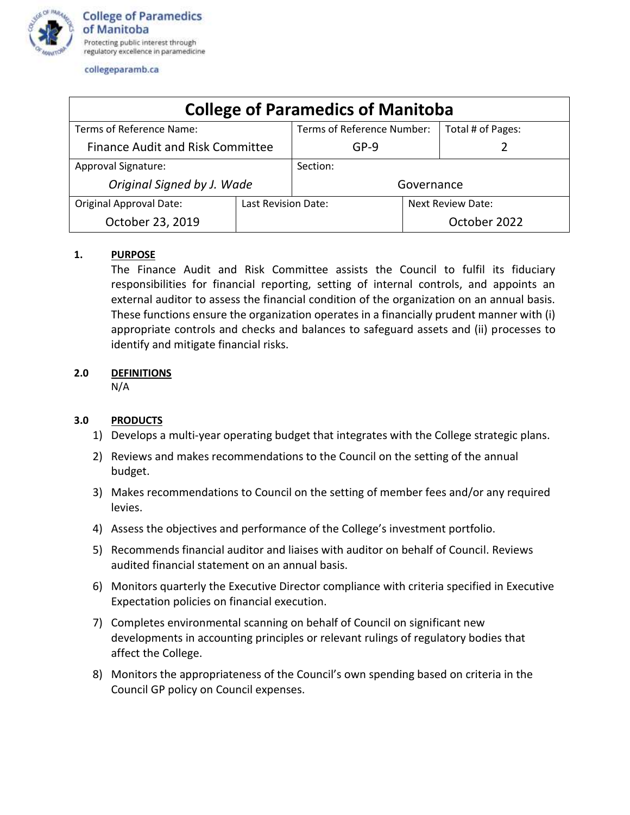

collegeparamb.ca

| <b>College of Paramedics of Manitoba</b> |                     |                            |                   |                   |
|------------------------------------------|---------------------|----------------------------|-------------------|-------------------|
| Terms of Reference Name:                 |                     | Terms of Reference Number: |                   | Total # of Pages: |
| <b>Finance Audit and Risk Committee</b>  |                     | GP-9                       |                   |                   |
| Approval Signature:                      |                     | Section:                   |                   |                   |
| Original Signed by J. Wade               |                     | Governance                 |                   |                   |
| <b>Original Approval Date:</b>           | Last Revision Date: |                            | Next Review Date: |                   |
| October 23, 2019                         |                     |                            |                   | October 2022      |

## **1. PURPOSE**

The Finance Audit and Risk Committee assists the Council to fulfil its fiduciary responsibilities for financial reporting, setting of internal controls, and appoints an external auditor to assess the financial condition of the organization on an annual basis. These functions ensure the organization operates in a financially prudent manner with (i) appropriate controls and checks and balances to safeguard assets and (ii) processes to identify and mitigate financial risks.

## **2.0 DEFINITIONS**

N/A

# **3.0 PRODUCTS**

- 1) Develops a multi-year operating budget that integrates with the College strategic plans.
- 2) Reviews and makes recommendations to the Council on the setting of the annual budget.
- 3) Makes recommendations to Council on the setting of member fees and/or any required levies.
- 4) Assess the objectives and performance of the College's investment portfolio.
- 5) Recommends financial auditor and liaises with auditor on behalf of Council. Reviews audited financial statement on an annual basis.
- 6) Monitors quarterly the Executive Director compliance with criteria specified in Executive Expectation policies on financial execution.
- 7) Completes environmental scanning on behalf of Council on significant new developments in accounting principles or relevant rulings of regulatory bodies that affect the College.
- 8) Monitors the appropriateness of the Council's own spending based on criteria in the Council GP policy on Council expenses.